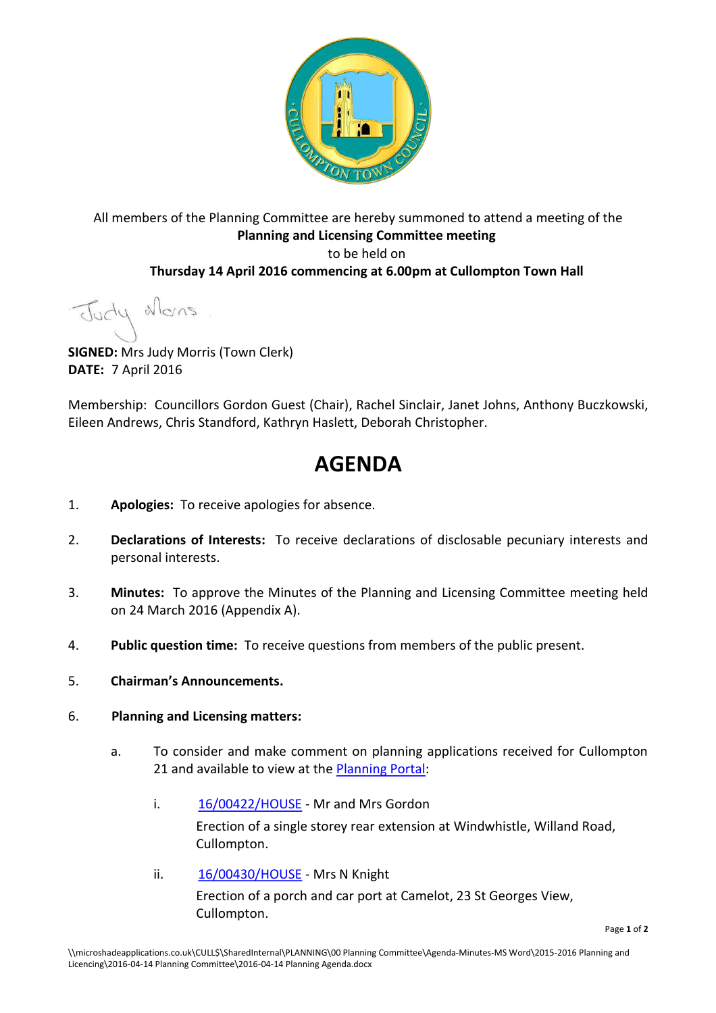

### All members of the Planning Committee are hereby summoned to attend a meeting of the **Planning and Licensing Committee meeting**  to be held on **Thursday 14 April 2016 commencing at 6.00pm at Cullompton Town Hall**

Judy Mons

**SIGNED:** Mrs Judy Morris (Town Clerk) **DATE:** 7 April 2016

Membership: Councillors Gordon Guest (Chair), Rachel Sinclair, Janet Johns, Anthony Buczkowski, Eileen Andrews, Chris Standford, Kathryn Haslett, Deborah Christopher.

# **AGENDA**

- 1. **Apologies:** To receive apologies for absence.
- 2. **Declarations of Interests:** To receive declarations of disclosable pecuniary interests and personal interests.
- 3. **Minutes:** To approve the Minutes of the Planning and Licensing Committee meeting held on 24 March 2016 (Appendix A).
- 4. **Public question time:** To receive questions from members of the public present.
- 5. **Chairman's Announcements.**

### 6. **Planning and Licensing matters:**

- a. To consider and make comment on planning applications received for Cullompton 21 and available to view at the [Planning Portal:](http://planning.middevon.gov.uk/online-applications/refineSearch.do?action=refine)
	- i. [16/00422/HOUSE](http://docs.middevon.gov.uk/pap/index.asp?caseref=16/00422/HOUSE)  Mr and Mrs Gordon Erection of a single storey rear extension at Windwhistle, Willand Road, Cullompton.
	- ii. [16/00430/HOUSE](http://docs.middevon.gov.uk/pap/index.asp?caseref=16/00430/HOUSE)  Mrs N Knight Erection of a porch and car port at Camelot, 23 St Georges View, Cullompton.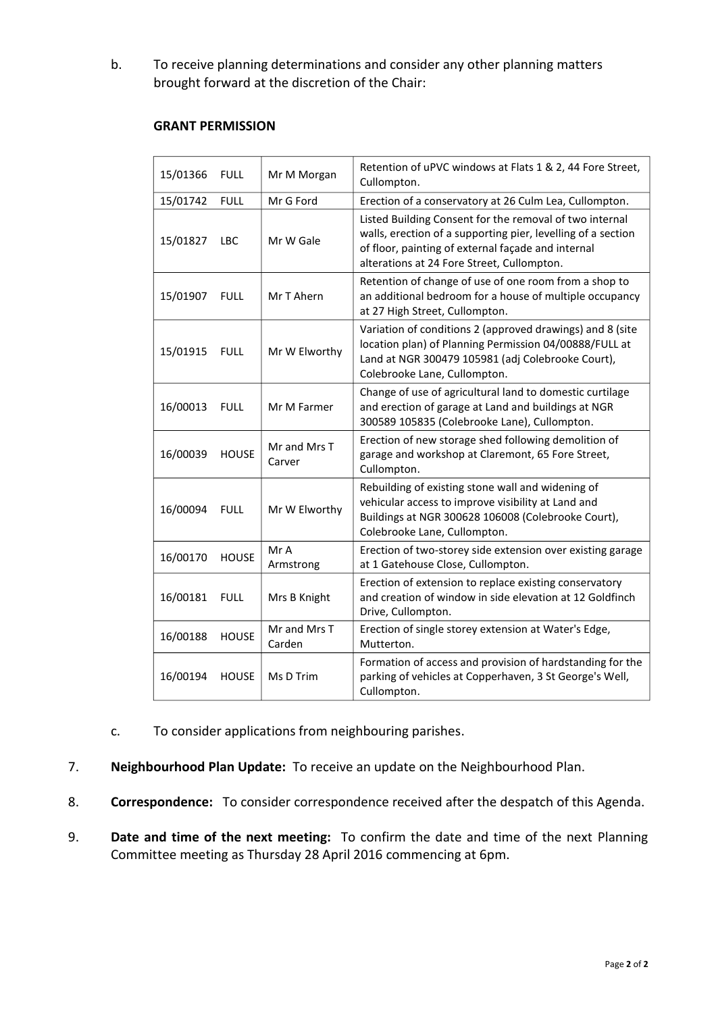b. To receive planning determinations and consider any other planning matters brought forward at the discretion of the Chair:

### **GRANT PERMISSION**

| 15/01366 | <b>FULL</b>  | Mr M Morgan            | Retention of uPVC windows at Flats 1 & 2, 44 Fore Street,<br>Cullompton.                                                                                                                                                    |
|----------|--------------|------------------------|-----------------------------------------------------------------------------------------------------------------------------------------------------------------------------------------------------------------------------|
| 15/01742 | <b>FULL</b>  | Mr G Ford              | Erection of a conservatory at 26 Culm Lea, Cullompton.                                                                                                                                                                      |
| 15/01827 | <b>LBC</b>   | Mr W Gale              | Listed Building Consent for the removal of two internal<br>walls, erection of a supporting pier, levelling of a section<br>of floor, painting of external façade and internal<br>alterations at 24 Fore Street, Cullompton. |
| 15/01907 | <b>FULL</b>  | Mr T Ahern             | Retention of change of use of one room from a shop to<br>an additional bedroom for a house of multiple occupancy<br>at 27 High Street, Cullompton.                                                                          |
| 15/01915 | <b>FULL</b>  | Mr W Elworthy          | Variation of conditions 2 (approved drawings) and 8 (site<br>location plan) of Planning Permission 04/00888/FULL at<br>Land at NGR 300479 105981 (adj Colebrooke Court),<br>Colebrooke Lane, Cullompton.                    |
| 16/00013 | <b>FULL</b>  | Mr M Farmer            | Change of use of agricultural land to domestic curtilage<br>and erection of garage at Land and buildings at NGR<br>300589 105835 (Colebrooke Lane), Cullompton.                                                             |
| 16/00039 | <b>HOUSE</b> | Mr and Mrs T<br>Carver | Erection of new storage shed following demolition of<br>garage and workshop at Claremont, 65 Fore Street,<br>Cullompton.                                                                                                    |
| 16/00094 | <b>FULL</b>  | Mr W Elworthy          | Rebuilding of existing stone wall and widening of<br>vehicular access to improve visibility at Land and<br>Buildings at NGR 300628 106008 (Colebrooke Court),<br>Colebrooke Lane, Cullompton.                               |
| 16/00170 | <b>HOUSE</b> | Mr A<br>Armstrong      | Erection of two-storey side extension over existing garage<br>at 1 Gatehouse Close, Cullompton.                                                                                                                             |
| 16/00181 | <b>FULL</b>  | Mrs B Knight           | Erection of extension to replace existing conservatory<br>and creation of window in side elevation at 12 Goldfinch<br>Drive, Cullompton.                                                                                    |
| 16/00188 | <b>HOUSE</b> | Mr and Mrs T<br>Carden | Erection of single storey extension at Water's Edge,<br>Mutterton.                                                                                                                                                          |
| 16/00194 | <b>HOUSE</b> | Ms D Trim              | Formation of access and provision of hardstanding for the<br>parking of vehicles at Copperhaven, 3 St George's Well,<br>Cullompton.                                                                                         |

- c. To consider applications from neighbouring parishes.
- 7. **Neighbourhood Plan Update:** To receive an update on the Neighbourhood Plan.
- 8. **Correspondence:** To consider correspondence received after the despatch of this Agenda.
- 9. **Date and time of the next meeting:** To confirm the date and time of the next Planning Committee meeting as Thursday 28 April 2016 commencing at 6pm.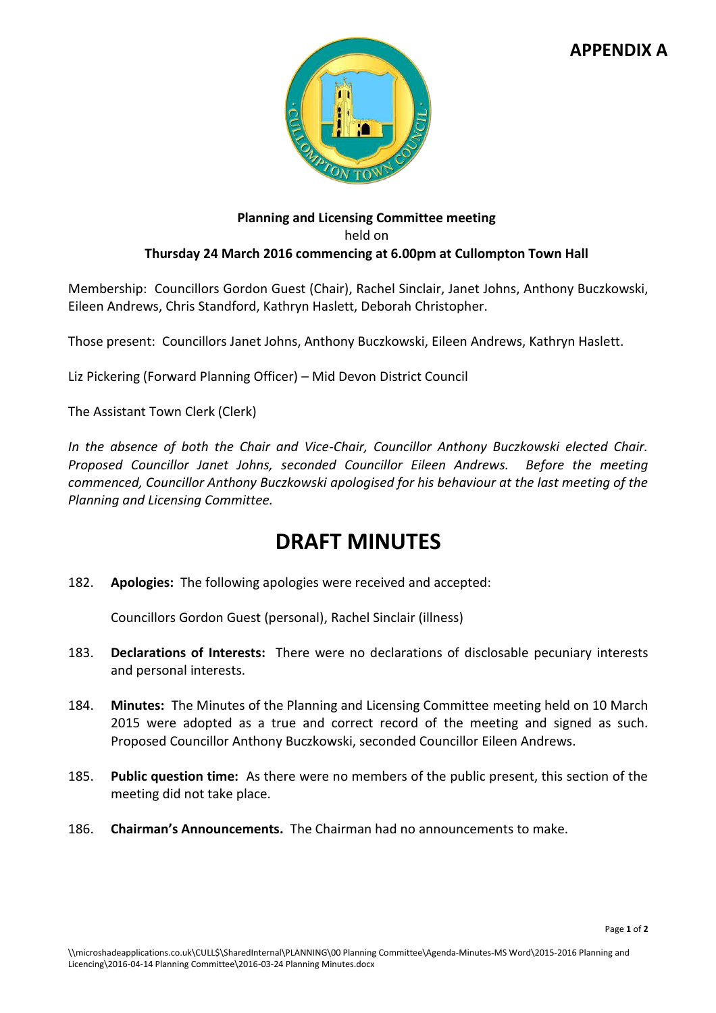### **APPENDIX A**



### **Planning and Licensing Committee meeting**  held on **Thursday 24 March 2016 commencing at 6.00pm at Cullompton Town Hall**

Membership: Councillors Gordon Guest (Chair), Rachel Sinclair, Janet Johns, Anthony Buczkowski, Eileen Andrews, Chris Standford, Kathryn Haslett, Deborah Christopher.

Those present: Councillors Janet Johns, Anthony Buczkowski, Eileen Andrews, Kathryn Haslett.

Liz Pickering (Forward Planning Officer) – Mid Devon District Council

The Assistant Town Clerk (Clerk)

*In the absence of both the Chair and Vice-Chair, Councillor Anthony Buczkowski elected Chair. Proposed Councillor Janet Johns, seconded Councillor Eileen Andrews. Before the meeting commenced, Councillor Anthony Buczkowski apologised for his behaviour at the last meeting of the Planning and Licensing Committee.* 

## **DRAFT MINUTES**

182. **Apologies:** The following apologies were received and accepted:

Councillors Gordon Guest (personal), Rachel Sinclair (illness)

- 183. **Declarations of Interests:** There were no declarations of disclosable pecuniary interests and personal interests.
- 184. **Minutes:** The Minutes of the Planning and Licensing Committee meeting held on 10 March 2015 were adopted as a true and correct record of the meeting and signed as such. Proposed Councillor Anthony Buczkowski, seconded Councillor Eileen Andrews.
- 185. **Public question time:** As there were no members of the public present, this section of the meeting did not take place.
- 186. **Chairman's Announcements.** The Chairman had no announcements to make.